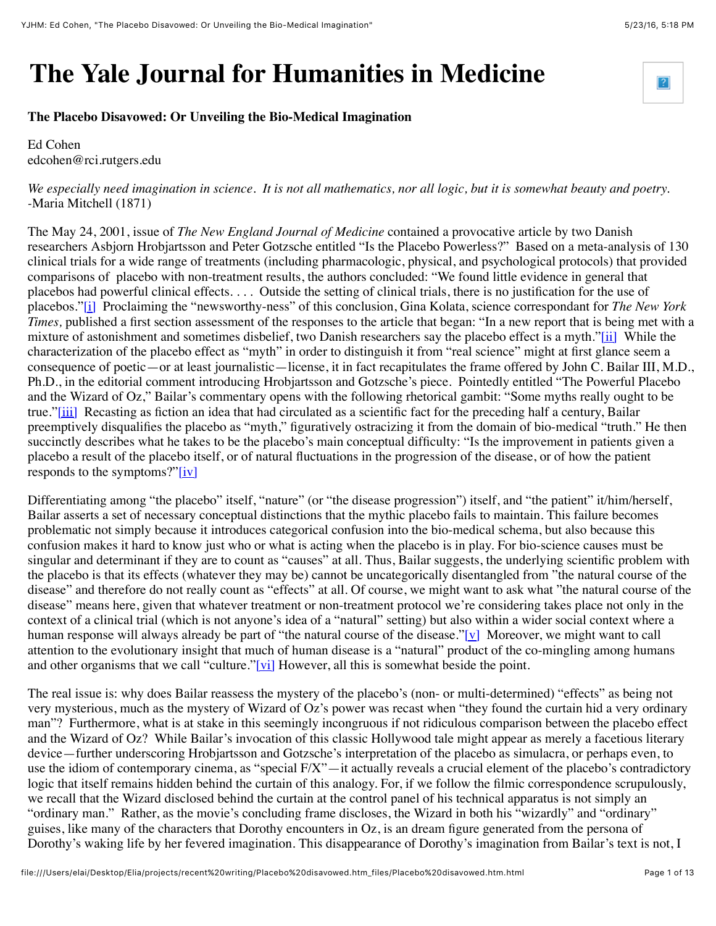## **The Yale Journal for Humanities in Medicine**

## **The Placebo Disavowed: Or Unveiling the Bio-Medical Imagination**

Ed Cohen edcohen@rci.rutgers.edu

## *We especially need imagination in science. It is not all mathematics, nor all logic, but it is somewhat beauty and poetry. -*Maria Mitchell (1871)

The May 24, 2001, issue of *The New England Journal of Medicine* contained a provocative article by two Danish researchers Asbjorn Hrobjartsson and Peter Gotzsche entitled "Is the Placebo Powerless?" Based on a meta-analysis of 130 clinical trials for a wide range of treatments (including pharmacologic, physical, and psychological protocols) that provided comparisons of placebo with non-treatment results, the authors concluded: "We found little evidence in general that placebos had powerful clinical effects. . . . Outside the setting of clinical trials, there is no justification for the use of placebos.["\[i\]](file:///Users/elai/Desktop/Elia/projects/recent%20writing/Placebo%20disavowed.htm_files/Placebo%20disavowed.htm.html#_edn1) Proclaiming the "newsworthy-ness" of this conclusion, Gina Kolata, science correspondant for *The New York Times,* published a first section assessment of the responses to the article that began: "In a new report that is being met with a mixture of astonishment and sometimes disbelief, two Danish researchers say the placebo effect is a myth.["\[ii\]](file:///Users/elai/Desktop/Elia/projects/recent%20writing/Placebo%20disavowed.htm_files/Placebo%20disavowed.htm.html#_edn2) While the characterization of the placebo effect as "myth" in order to distinguish it from "real science" might at first glance seem a consequence of poetic—or at least journalistic—license, it in fact recapitulates the frame offered by John C. Bailar III, M.D., Ph.D., in the editorial comment introducing Hrobjartsson and Gotzsche's piece. Pointedly entitled "The Powerful Placebo and the Wizard of Oz," Bailar's commentary opens with the following rhetorical gambit: "Some myths really ought to be true.["\[iii\]](file:///Users/elai/Desktop/Elia/projects/recent%20writing/Placebo%20disavowed.htm_files/Placebo%20disavowed.htm.html#_edn3) Recasting as fiction an idea that had circulated as a scientific fact for the preceding half a century, Bailar preemptively disqualifies the placebo as "myth," figuratively ostracizing it from the domain of bio-medical "truth." He then succinctly describes what he takes to be the placebo's main conceptual difficulty: "Is the improvement in patients given a placebo a result of the placebo itself, or of natural fluctuations in the progression of the disease, or of how the patient responds to the symptoms?["\[iv\]](file:///Users/elai/Desktop/Elia/projects/recent%20writing/Placebo%20disavowed.htm_files/Placebo%20disavowed.htm.html#_edn4)

Differentiating among "the placebo" itself, "nature" (or "the disease progression") itself, and "the patient" it/him/herself, Bailar asserts a set of necessary conceptual distinctions that the mythic placebo fails to maintain. This failure becomes problematic not simply because it introduces categorical confusion into the bio-medical schema, but also because this confusion makes it hard to know just who or what is acting when the placebo is in play. For bio-science causes must be singular and determinant if they are to count as "causes" at all. Thus, Bailar suggests, the underlying scientific problem with the placebo is that its effects (whatever they may be) cannot be uncategorically disentangled from "the natural course of the disease" and therefore do not really count as "effects" at all. Of course, we might want to ask what "the natural course of the disease" means here, given that whatever treatment or non-treatment protocol we're considering takes place not only in the context of a clinical trial (which is not anyone's idea of a "natural" setting) but also within a wider social context where a human response will always already be part of "the natural course of the disease." $[v]$  Moreover, we might want to call attention to the evolutionary insight that much of human disease is a "natural" product of the co-mingling among humans and other organisms that we call "culture.["\[vi\]](file:///Users/elai/Desktop/Elia/projects/recent%20writing/Placebo%20disavowed.htm_files/Placebo%20disavowed.htm.html#_edn6) However, all this is somewhat beside the point.

The real issue is: why does Bailar reassess the mystery of the placebo's (non- or multi-determined) "effects" as being not very mysterious, much as the mystery of Wizard of Oz's power was recast when "they found the curtain hid a very ordinary man"? Furthermore, what is at stake in this seemingly incongruous if not ridiculous comparison between the placebo effect and the Wizard of Oz? While Bailar's invocation of this classic Hollywood tale might appear as merely a facetious literary device—further underscoring Hrobjartsson and Gotzsche's interpretation of the placebo as simulacra, or perhaps even, to use the idiom of contemporary cinema, as "special F/X"—it actually reveals a crucial element of the placebo's contradictory logic that itself remains hidden behind the curtain of this analogy. For, if we follow the filmic correspondence scrupulously, we recall that the Wizard disclosed behind the curtain at the control panel of his technical apparatus is not simply an "ordinary man." Rather, as the movie's concluding frame discloses, the Wizard in both his "wizardly" and "ordinary" guises, like many of the characters that Dorothy encounters in Oz, is an dream figure generated from the persona of Dorothy's waking life by her fevered imagination. This disappearance of Dorothy's imagination from Bailar's text is not, I

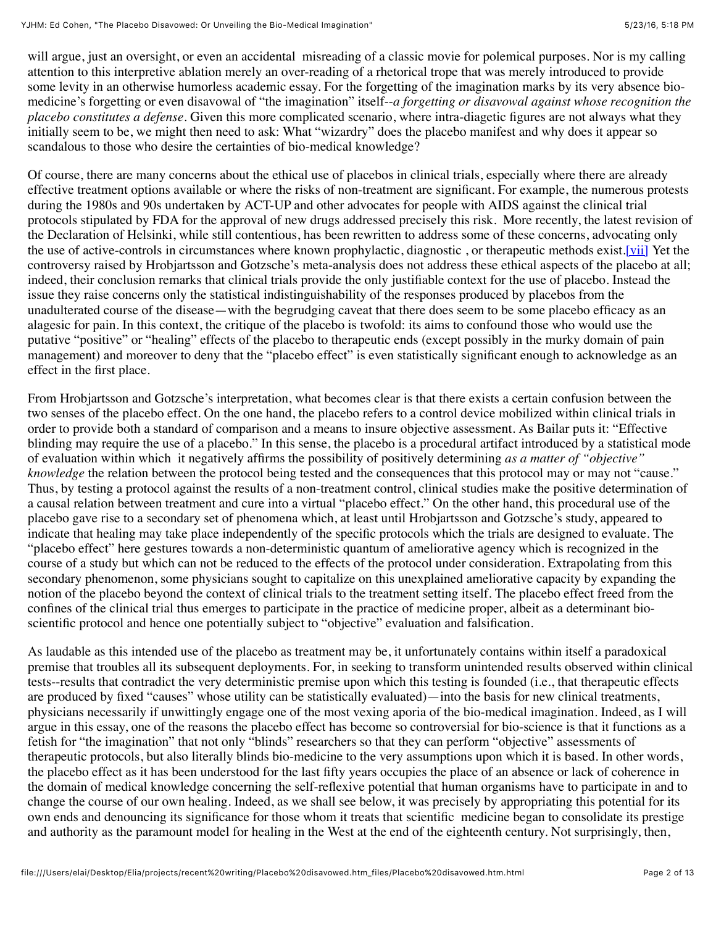will argue, just an oversight, or even an accidental misreading of a classic movie for polemical purposes. Nor is my calling attention to this interpretive ablation merely an over-reading of a rhetorical trope that was merely introduced to provide some levity in an otherwise humorless academic essay. For the forgetting of the imagination marks by its very absence biomedicine's forgetting or even disavowal of "the imagination" itself--*a forgetting or disavowal against whose recognition the placebo constitutes a defense*. Given this more complicated scenario, where intra-diagetic figures are not always what they initially seem to be, we might then need to ask: What "wizardry" does the placebo manifest and why does it appear so scandalous to those who desire the certainties of bio-medical knowledge?

Of course, there are many concerns about the ethical use of placebos in clinical trials, especially where there are already effective treatment options available or where the risks of non-treatment are significant. For example, the numerous protests during the 1980s and 90s undertaken by ACT-UP and other advocates for people with AIDS against the clinical trial protocols stipulated by FDA for the approval of new drugs addressed precisely this risk. More recently, the latest revision of the Declaration of Helsinki, while still contentious, has been rewritten to address some of these concerns, advocating only the use of active-controls in circumstances where known prophylactic, diagnostic, or therapeutic methods exist.<sup>[vii]</sup> Yet the controversy raised by Hrobjartsson and Gotzsche's meta-analysis does not address these ethical aspects of the placebo at all; indeed, their conclusion remarks that clinical trials provide the only justifiable context for the use of placebo. Instead the issue they raise concerns only the statistical indistinguishability of the responses produced by placebos from the unadulterated course of the disease—with the begrudging caveat that there does seem to be some placebo efficacy as an alagesic for pain. In this context, the critique of the placebo is twofold: its aims to confound those who would use the putative "positive" or "healing" effects of the placebo to therapeutic ends (except possibly in the murky domain of pain management) and moreover to deny that the "placebo effect" is even statistically significant enough to acknowledge as an effect in the first place.

From Hrobjartsson and Gotzsche's interpretation, what becomes clear is that there exists a certain confusion between the two senses of the placebo effect. On the one hand, the placebo refers to a control device mobilized within clinical trials in order to provide both a standard of comparison and a means to insure objective assessment. As Bailar puts it: "Effective blinding may require the use of a placebo." In this sense, the placebo is a procedural artifact introduced by a statistical mode of evaluation within which it negatively affirms the possibility of positively determining *as a matter of "objective" knowledge* the relation between the protocol being tested and the consequences that this protocol may or may not "cause." Thus, by testing a protocol against the results of a non-treatment control, clinical studies make the positive determination of a causal relation between treatment and cure into a virtual "placebo effect." On the other hand, this procedural use of the placebo gave rise to a secondary set of phenomena which, at least until Hrobjartsson and Gotzsche's study, appeared to indicate that healing may take place independently of the specific protocols which the trials are designed to evaluate. The "placebo effect" here gestures towards a non-deterministic quantum of ameliorative agency which is recognized in the course of a study but which can not be reduced to the effects of the protocol under consideration. Extrapolating from this secondary phenomenon, some physicians sought to capitalize on this unexplained ameliorative capacity by expanding the notion of the placebo beyond the context of clinical trials to the treatment setting itself. The placebo effect freed from the confines of the clinical trial thus emerges to participate in the practice of medicine proper, albeit as a determinant bioscientific protocol and hence one potentially subject to "objective" evaluation and falsification.

As laudable as this intended use of the placebo as treatment may be, it unfortunately contains within itself a paradoxical premise that troubles all its subsequent deployments. For, in seeking to transform unintended results observed within clinical tests--results that contradict the very deterministic premise upon which this testing is founded (i.e., that therapeutic effects are produced by fixed "causes" whose utility can be statistically evaluated)—into the basis for new clinical treatments, physicians necessarily if unwittingly engage one of the most vexing aporia of the bio-medical imagination. Indeed, as I will argue in this essay, one of the reasons the placebo effect has become so controversial for bio-science is that it functions as a fetish for "the imagination" that not only "blinds" researchers so that they can perform "objective" assessments of therapeutic protocols, but also literally blinds bio-medicine to the very assumptions upon which it is based. In other words, the placebo effect as it has been understood for the last fifty years occupies the place of an absence or lack of coherence in the domain of medical knowledge concerning the self-reflexive potential that human organisms have to participate in and to change the course of our own healing. Indeed, as we shall see below, it was precisely by appropriating this potential for its own ends and denouncing its significance for those whom it treats that scientific medicine began to consolidate its prestige and authority as the paramount model for healing in the West at the end of the eighteenth century. Not surprisingly, then,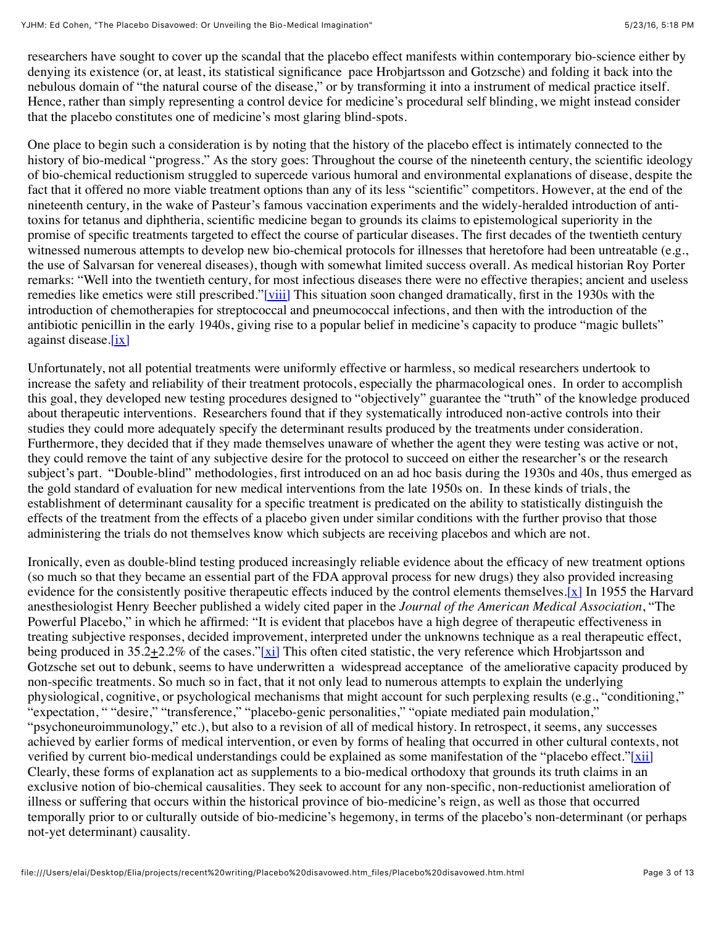researchers have sought to cover up the scandal that the placebo effect manifests within contemporary bio-science either by denying its existence (or, at least, its statistical significance pace Hrobjartsson and Gotzsche) and folding it back into the nebulous domain of "the natural course of the disease," or by transforming it into a instrument of medical practice itself. Hence, rather than simply representing a control device for medicine's procedural self blinding, we might instead consider that the placebo constitutes one of medicine's most glaring blind-spots.

One place to begin such a consideration is by noting that the history of the placebo effect is intimately connected to the history of bio-medical "progress." As the story goes: Throughout the course of the nineteenth century, the scientific ideology of bio-chemical reductionism struggled to supercede various humoral and environmental explanations of disease, despite the fact that it offered no more viable treatment options than any of its less "scientific" competitors. However, at the end of the nineteenth century, in the wake of Pasteur's famous vaccination experiments and the widely-heralded introduction of antitoxins for tetanus and diphtheria, scientific medicine began to grounds its claims to epistemological superiority in the promise of specific treatments targeted to effect the course of particular diseases. The first decades of the twentieth century witnessed numerous attempts to develop new bio-chemical protocols for illnesses that heretofore had been untreatable (e.g., the use of Salvarsan for venereal diseases), though with somewhat limited success overall. As medical historian Roy Porter remarks: "Well into the twentieth century, for most infectious diseases there were no effective therapies; ancient and useless remedies like emetics were still prescribed.["\[viii\]](file:///Users/elai/Desktop/Elia/projects/recent%20writing/Placebo%20disavowed.htm_files/Placebo%20disavowed.htm.html#_edn8) This situation soon changed dramatically, first in the 1930s with the introduction of chemotherapies for streptococcal and pneumococcal infections, and then with the introduction of the antibiotic penicillin in the early 1940s, giving rise to a popular belief in medicine's capacity to produce "magic bullets" against disease. $[ix]$ 

Unfortunately, not all potential treatments were uniformly effective or harmless, so medical researchers undertook to increase the safety and reliability of their treatment protocols, especially the pharmacological ones. In order to accomplish this goal, they developed new testing procedures designed to "objectively" guarantee the "truth" of the knowledge produced about therapeutic interventions. Researchers found that if they systematically introduced non-active controls into their studies they could more adequately specify the determinant results produced by the treatments under consideration. Furthermore, they decided that if they made themselves unaware of whether the agent they were testing was active or not, they could remove the taint of any subjective desire for the protocol to succeed on either the researcher's or the research subject's part. "Double-blind" methodologies, first introduced on an ad hoc basis during the 1930s and 40s, thus emerged as the gold standard of evaluation for new medical interventions from the late 1950s on. In these kinds of trials, the establishment of determinant causality for a specific treatment is predicated on the ability to statistically distinguish the effects of the treatment from the effects of a placebo given under similar conditions with the further proviso that those administering the trials do not themselves know which subjects are receiving placebos and which are not.

Ironically, even as double-blind testing produced increasingly reliable evidence about the efficacy of new treatment options (so much so that they became an essential part of the FDA approval process for new drugs) they also provided increasing evidence for the consistently positive therapeutic effects induced by the control elements themselves. $[x]$  In 1955 the Harvard anesthesiologist Henry Beecher published a widely cited paper in the *Journal of the American Medical Association*, "The Powerful Placebo," in which he affirmed: "It is evident that placebos have a high degree of therapeutic effectiveness in treating subjective responses, decided improvement, interpreted under the unknowns technique as a real therapeutic effect, being produced in  $35.2 \pm 2.2\%$  of the cases.["\[xi\]](file:///Users/elai/Desktop/Elia/projects/recent%20writing/Placebo%20disavowed.htm_files/Placebo%20disavowed.htm.html#_edn11) This often cited statistic, the very reference which Hrobjartsson and Gotzsche set out to debunk, seems to have underwritten a widespread acceptance of the ameliorative capacity produced by non-specific treatments. So much so in fact, that it not only lead to numerous attempts to explain the underlying physiological, cognitive, or psychological mechanisms that might account for such perplexing results (e.g., "conditioning," "expectation, " "desire," "transference," "placebo-genic personalities," "opiate mediated pain modulation," "psychoneuroimmunology," etc.), but also to a revision of all of medical history. In retrospect, it seems, any successes achieved by earlier forms of medical intervention, or even by forms of healing that occurred in other cultural contexts, not verified by current bio-medical understandings could be explained as some manifestation of the "placebo effect." $[\overline{xii}]$ Clearly, these forms of explanation act as supplements to a bio-medical orthodoxy that grounds its truth claims in an exclusive notion of bio-chemical causalities. They seek to account for any non-specific, non-reductionist amelioration of illness or suffering that occurs within the historical province of bio-medicine's reign, as well as those that occurred temporally prior to or culturally outside of bio-medicine's hegemony, in terms of the placebo's non-determinant (or perhaps not-yet determinant) causality.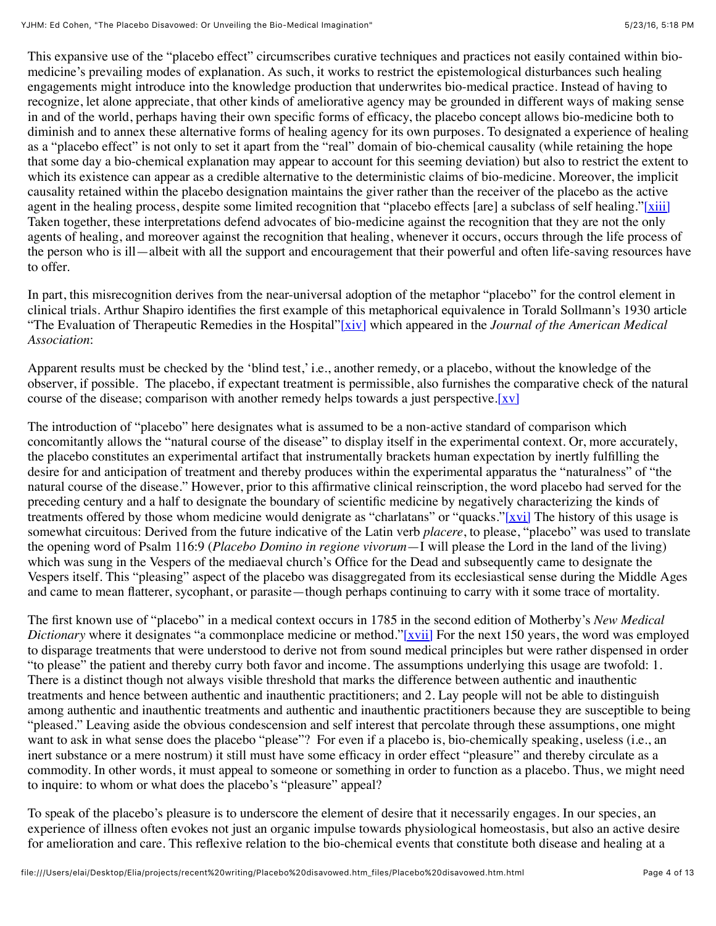This expansive use of the "placebo effect" circumscribes curative techniques and practices not easily contained within biomedicine's prevailing modes of explanation. As such, it works to restrict the epistemological disturbances such healing engagements might introduce into the knowledge production that underwrites bio-medical practice. Instead of having to recognize, let alone appreciate, that other kinds of ameliorative agency may be grounded in different ways of making sense in and of the world, perhaps having their own specific forms of efficacy, the placebo concept allows bio-medicine both to diminish and to annex these alternative forms of healing agency for its own purposes. To designated a experience of healing as a "placebo effect" is not only to set it apart from the "real" domain of bio-chemical causality (while retaining the hope that some day a bio-chemical explanation may appear to account for this seeming deviation) but also to restrict the extent to which its existence can appear as a credible alternative to the deterministic claims of bio-medicine. Moreover, the implicit causality retained within the placebo designation maintains the giver rather than the receiver of the placebo as the active agent in the healing process, despite some limited recognition that "placebo effects [are] a subclass of self healing."[\[xiii\]](file:///Users/elai/Desktop/Elia/projects/recent%20writing/Placebo%20disavowed.htm_files/Placebo%20disavowed.htm.html#_edn13) Taken together, these interpretations defend advocates of bio-medicine against the recognition that they are not the only agents of healing, and moreover against the recognition that healing, whenever it occurs, occurs through the life process of the person who is ill—albeit with all the support and encouragement that their powerful and often life-saving resources have to offer.

In part, this misrecognition derives from the near-universal adoption of the metaphor "placebo" for the control element in clinical trials. Arthur Shapiro identifies the first example of this metaphorical equivalence in Torald Sollmann's 1930 article "The Evaluation of Therapeutic Remedies in the Hospital["\[xiv\]](file:///Users/elai/Desktop/Elia/projects/recent%20writing/Placebo%20disavowed.htm_files/Placebo%20disavowed.htm.html#_edn14) which appeared in the *Journal of the American Medical Association*:

Apparent results must be checked by the 'blind test,' i.e., another remedy, or a placebo, without the knowledge of the observer, if possible. The placebo, if expectant treatment is permissible, also furnishes the comparative check of the natural course of the disease; comparison with another remedy helps towards a just perspective. $[xv]$ 

The introduction of "placebo" here designates what is assumed to be a non-active standard of comparison which concomitantly allows the "natural course of the disease" to display itself in the experimental context. Or, more accurately, the placebo constitutes an experimental artifact that instrumentally brackets human expectation by inertly fulfilling the desire for and anticipation of treatment and thereby produces within the experimental apparatus the "naturalness" of "the natural course of the disease." However, prior to this affirmative clinical reinscription, the word placebo had served for the preceding century and a half to designate the boundary of scientific medicine by negatively characterizing the kinds of treatments offered by those whom medicine would denigrate as "charlatans" or "quacks.["\[xvi\]](file:///Users/elai/Desktop/Elia/projects/recent%20writing/Placebo%20disavowed.htm_files/Placebo%20disavowed.htm.html#_edn16) The history of this usage is somewhat circuitous: Derived from the future indicative of the Latin verb *placere*, to please, "placebo" was used to translate the opening word of Psalm 116:9 (*Placebo Domino in regione vivorum*—I will please the Lord in the land of the living) which was sung in the Vespers of the mediaeval church's Office for the Dead and subsequently came to designate the Vespers itself. This "pleasing" aspect of the placebo was disaggregated from its ecclesiastical sense during the Middle Ages and came to mean flatterer, sycophant, or parasite—though perhaps continuing to carry with it some trace of mortality.

The first known use of "placebo" in a medical context occurs in 1785 in the second edition of Motherby's *New Medical Dictionary* where it designates "a commonplace medicine or method.["\[xvii\]](file:///Users/elai/Desktop/Elia/projects/recent%20writing/Placebo%20disavowed.htm_files/Placebo%20disavowed.htm.html#_edn17) For the next 150 years, the word was employed to disparage treatments that were understood to derive not from sound medical principles but were rather dispensed in order "to please" the patient and thereby curry both favor and income. The assumptions underlying this usage are twofold: 1. There is a distinct though not always visible threshold that marks the difference between authentic and inauthentic treatments and hence between authentic and inauthentic practitioners; and 2. Lay people will not be able to distinguish among authentic and inauthentic treatments and authentic and inauthentic practitioners because they are susceptible to being "pleased." Leaving aside the obvious condescension and self interest that percolate through these assumptions, one might want to ask in what sense does the placebo "please"? For even if a placebo is, bio-chemically speaking, useless (i.e., an inert substance or a mere nostrum) it still must have some efficacy in order effect "pleasure" and thereby circulate as a commodity. In other words, it must appeal to someone or something in order to function as a placebo. Thus, we might need to inquire: to whom or what does the placebo's "pleasure" appeal?

To speak of the placebo's pleasure is to underscore the element of desire that it necessarily engages. In our species, an experience of illness often evokes not just an organic impulse towards physiological homeostasis, but also an active desire for amelioration and care. This reflexive relation to the bio-chemical events that constitute both disease and healing at a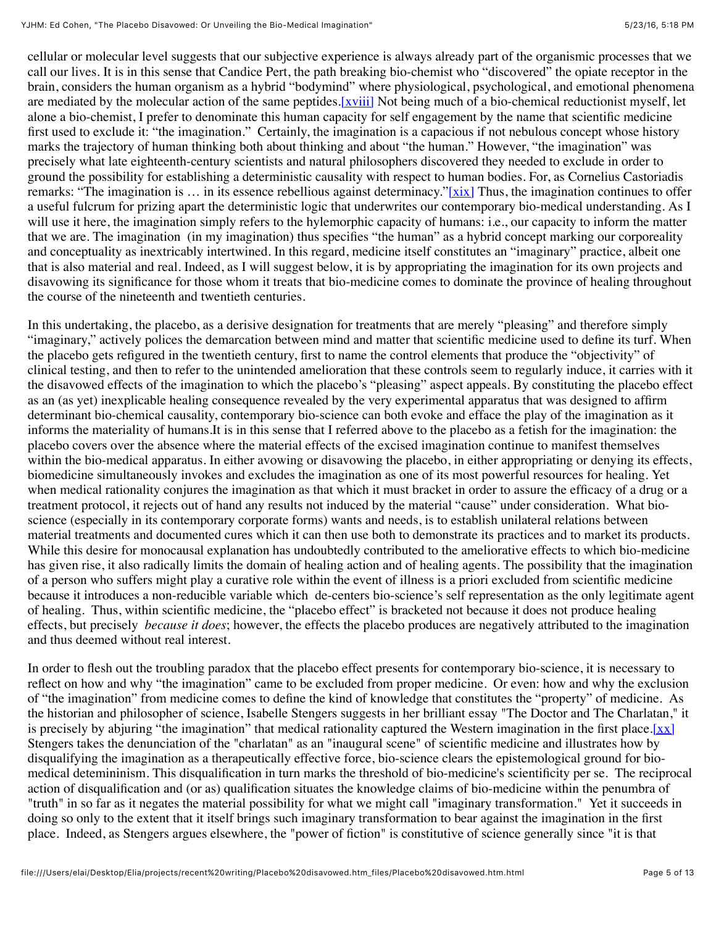cellular or molecular level suggests that our subjective experience is always already part of the organismic processes that we call our lives. It is in this sense that Candice Pert, the path breaking bio-chemist who "discovered" the opiate receptor in the brain, considers the human organism as a hybrid "bodymind" where physiological, psychological, and emotional phenomena are mediated by the molecular action of the same peptides[.\[xviii\]](file:///Users/elai/Desktop/Elia/projects/recent%20writing/Placebo%20disavowed.htm_files/Placebo%20disavowed.htm.html#_edn18) Not being much of a bio-chemical reductionist myself, let alone a bio-chemist, I prefer to denominate this human capacity for self engagement by the name that scientific medicine first used to exclude it: "the imagination." Certainly, the imagination is a capacious if not nebulous concept whose history marks the trajectory of human thinking both about thinking and about "the human." However, "the imagination" was precisely what late eighteenth-century scientists and natural philosophers discovered they needed to exclude in order to ground the possibility for establishing a deterministic causality with respect to human bodies. For, as Cornelius Castoriadis remarks: "The imagination is  $\ldots$  in its essence rebellious against determinacy."[\[xix\]](file:///Users/elai/Desktop/Elia/projects/recent%20writing/Placebo%20disavowed.htm_files/Placebo%20disavowed.htm.html#_edn19) Thus, the imagination continues to offer a useful fulcrum for prizing apart the deterministic logic that underwrites our contemporary bio-medical understanding. As I will use it here, the imagination simply refers to the hylemorphic capacity of humans: i.e., our capacity to inform the matter that we are. The imagination (in my imagination) thus specifies "the human" as a hybrid concept marking our corporeality and conceptuality as inextricably intertwined. In this regard, medicine itself constitutes an "imaginary" practice, albeit one that is also material and real. Indeed, as I will suggest below, it is by appropriating the imagination for its own projects and disavowing its significance for those whom it treats that bio-medicine comes to dominate the province of healing throughout the course of the nineteenth and twentieth centuries.

In this undertaking, the placebo, as a derisive designation for treatments that are merely "pleasing" and therefore simply "imaginary," actively polices the demarcation between mind and matter that scientific medicine used to define its turf. When the placebo gets refigured in the twentieth century, first to name the control elements that produce the "objectivity" of clinical testing, and then to refer to the unintended amelioration that these controls seem to regularly induce, it carries with it the disavowed effects of the imagination to which the placebo's "pleasing" aspect appeals. By constituting the placebo effect as an (as yet) inexplicable healing consequence revealed by the very experimental apparatus that was designed to affirm determinant bio-chemical causality, contemporary bio-science can both evoke and efface the play of the imagination as it informs the materiality of humans.It is in this sense that I referred above to the placebo as a fetish for the imagination: the placebo covers over the absence where the material effects of the excised imagination continue to manifest themselves within the bio-medical apparatus. In either avowing or disavowing the placebo, in either appropriating or denying its effects, biomedicine simultaneously invokes and excludes the imagination as one of its most powerful resources for healing. Yet when medical rationality conjures the imagination as that which it must bracket in order to assure the efficacy of a drug or a treatment protocol, it rejects out of hand any results not induced by the material "cause" under consideration. What bioscience (especially in its contemporary corporate forms) wants and needs, is to establish unilateral relations between material treatments and documented cures which it can then use both to demonstrate its practices and to market its products. While this desire for monocausal explanation has undoubtedly contributed to the ameliorative effects to which bio-medicine has given rise, it also radically limits the domain of healing action and of healing agents. The possibility that the imagination of a person who suffers might play a curative role within the event of illness is a priori excluded from scientific medicine because it introduces a non-reducible variable which de-centers bio-science's self representation as the only legitimate agent of healing. Thus, within scientific medicine, the "placebo effect" is bracketed not because it does not produce healing effects, but precisely *because it does*; however, the effects the placebo produces are negatively attributed to the imagination and thus deemed without real interest.

In order to flesh out the troubling paradox that the placebo effect presents for contemporary bio-science, it is necessary to reflect on how and why "the imagination" came to be excluded from proper medicine. Or even: how and why the exclusion of "the imagination" from medicine comes to define the kind of knowledge that constitutes the "property" of medicine. As the historian and philosopher of science, Isabelle Stengers suggests in her brilliant essay "The Doctor and The Charlatan," it is precisely by abjuring "the imagination" that medical rationality captured the Western imagination in the first place[.\[xx\]](file:///Users/elai/Desktop/Elia/projects/recent%20writing/Placebo%20disavowed.htm_files/Placebo%20disavowed.htm.html#_edn20) Stengers takes the denunciation of the "charlatan" as an "inaugural scene" of scientific medicine and illustrates how by disqualifying the imagination as a therapeutically effective force, bio-science clears the epistemological ground for biomedical detemininism. This disqualification in turn marks the threshold of bio-medicine's scientificity per se. The reciprocal action of disqualification and (or as) qualification situates the knowledge claims of bio-medicine within the penumbra of "truth" in so far as it negates the material possibility for what we might call "imaginary transformation." Yet it succeeds in doing so only to the extent that it itself brings such imaginary transformation to bear against the imagination in the first place. Indeed, as Stengers argues elsewhere, the "power of fiction" is constitutive of science generally since "it is that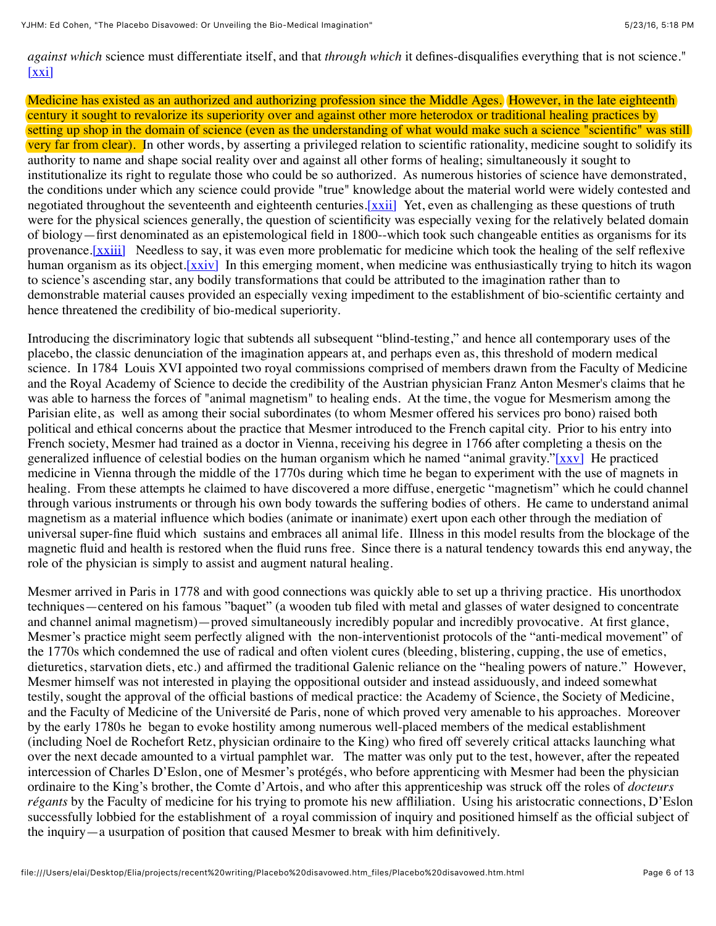*against which* science must differentiate itself, and that *through which* it defines-disqualifies everything that is not science."  $[xxi]$ 

Medicine has existed as an authorized and authorizing profession since the Middle Ages. However, in the late eighteenth century it sought to revalorize its superiority over and against other more heterodox or traditional healing practices by setting up shop in the domain of science (even as the understanding of what would make such a science "scientific" was still very far from clear). In other words, by asserting a privileged relation to scientific rationality, medicine sought to solidify its authority to name and shape social reality over and against all other forms of healing; simultaneously it sought to institutionalize its right to regulate those who could be so authorized. As numerous histories of science have demonstrated, the conditions under which any science could provide "true" knowledge about the material world were widely contested and negotiated throughout the seventeenth and eighteenth centuries. [xxii] Yet, even as challenging as these questions of truth were for the physical sciences generally, the question of scientificity was especially vexing for the relatively belated domain of biology—first denominated as an epistemological field in 1800--which took such changeable entities as organisms for its provenance.<sup>[xxiii]</sup> Needless to say, it was even more problematic for medicine which took the healing of the self reflexive human organism as its object. [xxiv] In this emerging moment, when medicine was enthusiastically trying to hitch its wagon to science's ascending star, any bodily transformations that could be attributed to the imagination rather than to demonstrable material causes provided an especially vexing impediment to the establishment of bio-scientific certainty and hence threatened the credibility of bio-medical superiority.

Introducing the discriminatory logic that subtends all subsequent "blind-testing," and hence all contemporary uses of the placebo, the classic denunciation of the imagination appears at, and perhaps even as, this threshold of modern medical science. In 1784 Louis XVI appointed two royal commissions comprised of members drawn from the Faculty of Medicine and the Royal Academy of Science to decide the credibility of the Austrian physician Franz Anton Mesmer's claims that he was able to harness the forces of "animal magnetism" to healing ends. At the time, the vogue for Mesmerism among the Parisian elite, as well as among their social subordinates (to whom Mesmer offered his services pro bono) raised both political and ethical concerns about the practice that Mesmer introduced to the French capital city. Prior to his entry into French society, Mesmer had trained as a doctor in Vienna, receiving his degree in 1766 after completing a thesis on the generalized influence of celestial bodies on the human organism which he named "animal gravity.["\[xxv\]](file:///Users/elai/Desktop/Elia/projects/recent%20writing/Placebo%20disavowed.htm_files/Placebo%20disavowed.htm.html#_edn25) He practiced medicine in Vienna through the middle of the 1770s during which time he began to experiment with the use of magnets in healing. From these attempts he claimed to have discovered a more diffuse, energetic "magnetism" which he could channel through various instruments or through his own body towards the suffering bodies of others. He came to understand animal magnetism as a material influence which bodies (animate or inanimate) exert upon each other through the mediation of universal super-fine fluid which sustains and embraces all animal life. Illness in this model results from the blockage of the magnetic fluid and health is restored when the fluid runs free. Since there is a natural tendency towards this end anyway, the role of the physician is simply to assist and augment natural healing.

Mesmer arrived in Paris in 1778 and with good connections was quickly able to set up a thriving practice. His unorthodox techniques—centered on his famous "baquet" (a wooden tub filed with metal and glasses of water designed to concentrate and channel animal magnetism)—proved simultaneously incredibly popular and incredibly provocative. At first glance, Mesmer's practice might seem perfectly aligned with the non-interventionist protocols of the "anti-medical movement" of the 1770s which condemned the use of radical and often violent cures (bleeding, blistering, cupping, the use of emetics, dieturetics, starvation diets, etc.) and affirmed the traditional Galenic reliance on the "healing powers of nature." However, Mesmer himself was not interested in playing the oppositional outsider and instead assiduously, and indeed somewhat testily, sought the approval of the official bastions of medical practice: the Academy of Science, the Society of Medicine, and the Faculty of Medicine of the Université de Paris, none of which proved very amenable to his approaches. Moreover by the early 1780s he began to evoke hostility among numerous well-placed members of the medical establishment (including Noel de Rochefort Retz, physician ordinaire to the King) who fired off severely critical attacks launching what over the next decade amounted to a virtual pamphlet war. The matter was only put to the test, however, after the repeated intercession of Charles D'Eslon, one of Mesmer's protégés, who before apprenticing with Mesmer had been the physician ordinaire to the King's brother, the Comte d'Artois, and who after this apprenticeship was struck off the roles of *docteurs régants* by the Faculty of medicine for his trying to promote his new affliliation. Using his aristocratic connections, D'Eslon successfully lobbied for the establishment of a royal commission of inquiry and positioned himself as the official subject of the inquiry—a usurpation of position that caused Mesmer to break with him definitively.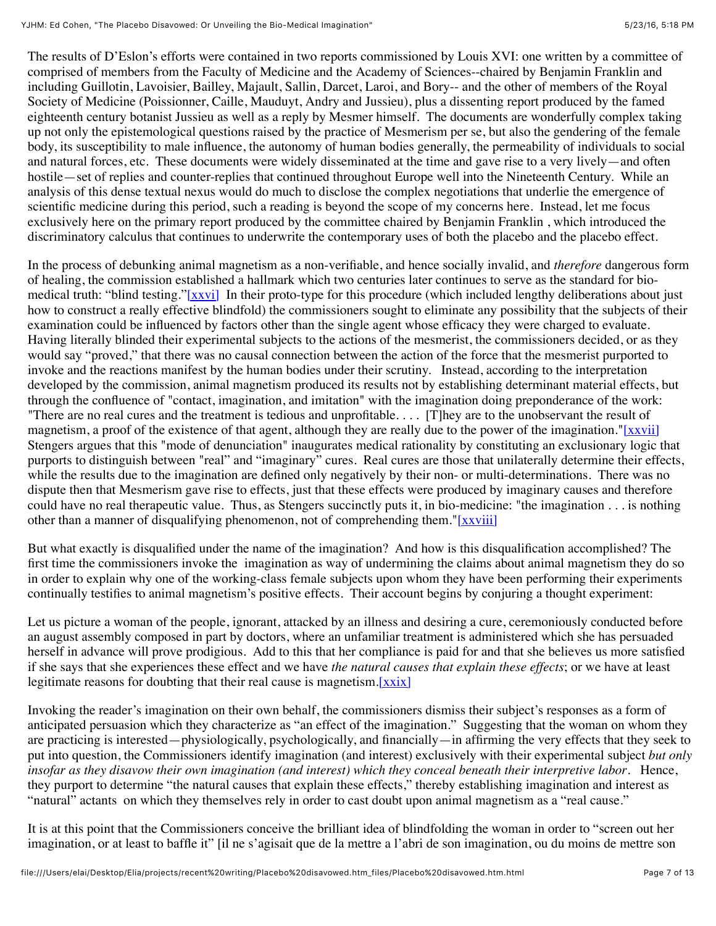The results of D'Eslon's efforts were contained in two reports commissioned by Louis XVI: one written by a committee of comprised of members from the Faculty of Medicine and the Academy of Sciences--chaired by Benjamin Franklin and including Guillotin, Lavoisier, Bailley, Majault, Sallin, Darcet, Laroi, and Bory-- and the other of members of the Royal Society of Medicine (Poissionner, Caille, Mauduyt, Andry and Jussieu), plus a dissenting report produced by the famed eighteenth century botanist Jussieu as well as a reply by Mesmer himself. The documents are wonderfully complex taking up not only the epistemological questions raised by the practice of Mesmerism per se, but also the gendering of the female body, its susceptibility to male influence, the autonomy of human bodies generally, the permeability of individuals to social and natural forces, etc. These documents were widely disseminated at the time and gave rise to a very lively—and often hostile—set of replies and counter-replies that continued throughout Europe well into the Nineteenth Century. While an analysis of this dense textual nexus would do much to disclose the complex negotiations that underlie the emergence of scientific medicine during this period, such a reading is beyond the scope of my concerns here. Instead, let me focus exclusively here on the primary report produced by the committee chaired by Benjamin Franklin , which introduced the discriminatory calculus that continues to underwrite the contemporary uses of both the placebo and the placebo effect.

In the process of debunking animal magnetism as a non-verifiable, and hence socially invalid, and *therefore* dangerous form of healing, the commission established a hallmark which two centuries later continues to serve as the standard for bio-medical truth: "blind testing."[\[xxvi\]](file:///Users/elai/Desktop/Elia/projects/recent%20writing/Placebo%20disavowed.htm_files/Placebo%20disavowed.htm.html#_edn26) In their proto-type for this procedure (which included lengthy deliberations about just how to construct a really effective blindfold) the commissioners sought to eliminate any possibility that the subjects of their examination could be influenced by factors other than the single agent whose efficacy they were charged to evaluate. Having literally blinded their experimental subjects to the actions of the mesmerist, the commissioners decided, or as they would say "proved," that there was no causal connection between the action of the force that the mesmerist purported to invoke and the reactions manifest by the human bodies under their scrutiny. Instead, according to the interpretation developed by the commission, animal magnetism produced its results not by establishing determinant material effects, but through the confluence of "contact, imagination, and imitation" with the imagination doing preponderance of the work: "There are no real cures and the treatment is tedious and unprofitable. . . . [T]hey are to the unobservant the result of magnetism, a proof of the existence of that agent, although they are really due to the power of the imagination.["\[xxvii\]](file:///Users/elai/Desktop/Elia/projects/recent%20writing/Placebo%20disavowed.htm_files/Placebo%20disavowed.htm.html#_edn27) Stengers argues that this "mode of denunciation" inaugurates medical rationality by constituting an exclusionary logic that purports to distinguish between "real" and "imaginary" cures. Real cures are those that unilaterally determine their effects, while the results due to the imagination are defined only negatively by their non- or multi-determinations. There was no dispute then that Mesmerism gave rise to effects, just that these effects were produced by imaginary causes and therefore could have no real therapeutic value. Thus, as Stengers succinctly puts it, in bio-medicine: "the imagination . . . is nothing other than a manner of disqualifying phenomenon, not of comprehending them.["\[xxviii\]](file:///Users/elai/Desktop/Elia/projects/recent%20writing/Placebo%20disavowed.htm_files/Placebo%20disavowed.htm.html#_edn28)

But what exactly is disqualified under the name of the imagination? And how is this disqualification accomplished? The first time the commissioners invoke the imagination as way of undermining the claims about animal magnetism they do so in order to explain why one of the working-class female subjects upon whom they have been performing their experiments continually testifies to animal magnetism's positive effects. Their account begins by conjuring a thought experiment:

Let us picture a woman of the people, ignorant, attacked by an illness and desiring a cure, ceremoniously conducted before an august assembly composed in part by doctors, where an unfamiliar treatment is administered which she has persuaded herself in advance will prove prodigious. Add to this that her compliance is paid for and that she believes us more satisfied if she says that she experiences these effect and we have *the natural causes that explain these effects*; or we have at least legitimate reasons for doubting that their real cause is magnetism. $[xxix]$ 

Invoking the reader's imagination on their own behalf, the commissioners dismiss their subject's responses as a form of anticipated persuasion which they characterize as "an effect of the imagination." Suggesting that the woman on whom they are practicing is interested—physiologically, psychologically, and financially—in affirming the very effects that they seek to put into question, the Commissioners identify imagination (and interest) exclusively with their experimental subject *but only insofar as they disavow their own imagination (and interest) which they conceal beneath their interpretive labor*. Hence, they purport to determine "the natural causes that explain these effects," thereby establishing imagination and interest as "natural" actants on which they themselves rely in order to cast doubt upon animal magnetism as a "real cause."

It is at this point that the Commissioners conceive the brilliant idea of blindfolding the woman in order to "screen out her imagination, or at least to baffle it" [il ne s'agisait que de la mettre a l'abri de son imagination, ou du moins de mettre son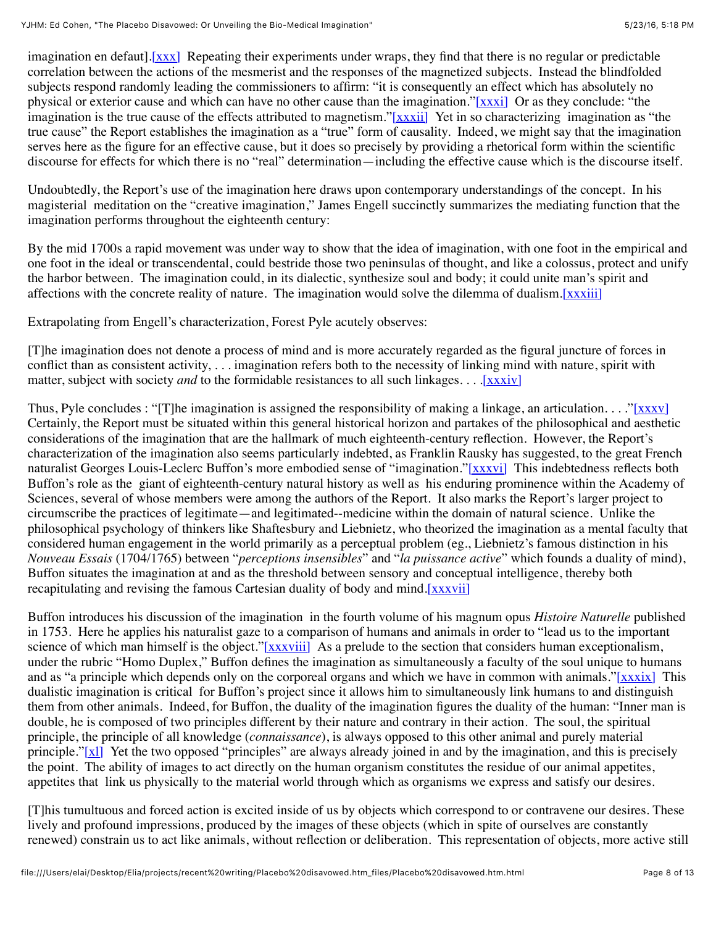imagination en defaut][.\[xxx\]](file:///Users/elai/Desktop/Elia/projects/recent%20writing/Placebo%20disavowed.htm_files/Placebo%20disavowed.htm.html#_edn30) Repeating their experiments under wraps, they find that there is no regular or predictable correlation between the actions of the mesmerist and the responses of the magnetized subjects. Instead the blindfolded subjects respond randomly leading the commissioners to affirm: "it is consequently an effect which has absolutely no physical or exterior cause and which can have no other cause than the imagination."[\[xxxi\]](file:///Users/elai/Desktop/Elia/projects/recent%20writing/Placebo%20disavowed.htm_files/Placebo%20disavowed.htm.html#_edn31) Or as they conclude: "the imagination is the true cause of the effects attributed to magnetism.["\[xxxii\]](file:///Users/elai/Desktop/Elia/projects/recent%20writing/Placebo%20disavowed.htm_files/Placebo%20disavowed.htm.html#_edn32) Yet in so characterizing imagination as "the true cause" the Report establishes the imagination as a "true" form of causality. Indeed, we might say that the imagination serves here as the figure for an effective cause, but it does so precisely by providing a rhetorical form within the scientific discourse for effects for which there is no "real" determination—including the effective cause which is the discourse itself.

Undoubtedly, the Report's use of the imagination here draws upon contemporary understandings of the concept. In his magisterial meditation on the "creative imagination," James Engell succinctly summarizes the mediating function that the imagination performs throughout the eighteenth century:

By the mid 1700s a rapid movement was under way to show that the idea of imagination, with one foot in the empirical and one foot in the ideal or transcendental, could bestride those two peninsulas of thought, and like a colossus, protect and unify the harbor between. The imagination could, in its dialectic, synthesize soul and body; it could unite man's spirit and affections with the concrete reality of nature. The imagination would solve the dilemma of dualism[.\[xxxiii\]](file:///Users/elai/Desktop/Elia/projects/recent%20writing/Placebo%20disavowed.htm_files/Placebo%20disavowed.htm.html#_edn33)

Extrapolating from Engell's characterization, Forest Pyle acutely observes:

[T]he imagination does not denote a process of mind and is more accurately regarded as the figural juncture of forces in conflict than as consistent activity, . . . imagination refers both to the necessity of linking mind with nature, spirit with matter, subject with society *and* to the formidable resistances to all such linkages. . . . [xxxiv]

Thus, Pyle concludes : "[T]he imagination is assigned the responsibility of making a linkage, an articulation. . . ["\[xxxv\]](file:///Users/elai/Desktop/Elia/projects/recent%20writing/Placebo%20disavowed.htm_files/Placebo%20disavowed.htm.html#_edn35) Certainly, the Report must be situated within this general historical horizon and partakes of the philosophical and aesthetic considerations of the imagination that are the hallmark of much eighteenth-century reflection. However, the Report's characterization of the imagination also seems particularly indebted, as Franklin Rausky has suggested, to the great French naturalist Georges Louis-Leclerc Buffon's more embodied sense of "imagination.["\[xxxvi\]](file:///Users/elai/Desktop/Elia/projects/recent%20writing/Placebo%20disavowed.htm_files/Placebo%20disavowed.htm.html#_edn36) This indebtedness reflects both Buffon's role as the giant of eighteenth-century natural history as well as his enduring prominence within the Academy of Sciences, several of whose members were among the authors of the Report. It also marks the Report's larger project to circumscribe the practices of legitimate—and legitimated--medicine within the domain of natural science. Unlike the philosophical psychology of thinkers like Shaftesbury and Liebnietz, who theorized the imagination as a mental faculty that considered human engagement in the world primarily as a perceptual problem (eg., Liebnietz's famous distinction in his *Nouveau Essais* (1704/1765) between "*perceptions insensibles*" and "*la puissance active*" which founds a duality of mind), Buffon situates the imagination at and as the threshold between sensory and conceptual intelligence, thereby both recapitulating and revising the famous Cartesian duality of body and mind[.\[xxxvii\]](file:///Users/elai/Desktop/Elia/projects/recent%20writing/Placebo%20disavowed.htm_files/Placebo%20disavowed.htm.html#_edn37)

Buffon introduces his discussion of the imagination in the fourth volume of his magnum opus *Histoire Naturelle* published in 1753. Here he applies his naturalist gaze to a comparison of humans and animals in order to "lead us to the important science of which man himself is the object.["\[xxxviii\]](file:///Users/elai/Desktop/Elia/projects/recent%20writing/Placebo%20disavowed.htm_files/Placebo%20disavowed.htm.html#_edn38) As a prelude to the section that considers human exceptionalism, under the rubric "Homo Duplex," Buffon defines the imagination as simultaneously a faculty of the soul unique to humans and as "a principle which depends only on the corporeal organs and which we have in common with animals.["\[xxxix\]](file:///Users/elai/Desktop/Elia/projects/recent%20writing/Placebo%20disavowed.htm_files/Placebo%20disavowed.htm.html#_edn39) This dualistic imagination is critical for Buffon's project since it allows him to simultaneously link humans to and distinguish them from other animals. Indeed, for Buffon, the duality of the imagination figures the duality of the human: "Inner man is double, he is composed of two principles different by their nature and contrary in their action. The soul, the spiritual principle, the principle of all knowledge (*connaissance*), is always opposed to this other animal and purely material principle." $[x]$  Yet the two opposed "principles" are always already joined in and by the imagination, and this is precisely the point. The ability of images to act directly on the human organism constitutes the residue of our animal appetites, appetites that link us physically to the material world through which as organisms we express and satisfy our desires.

[T]his tumultuous and forced action is excited inside of us by objects which correspond to or contravene our desires. These lively and profound impressions, produced by the images of these objects (which in spite of ourselves are constantly renewed) constrain us to act like animals, without reflection or deliberation. This representation of objects, more active still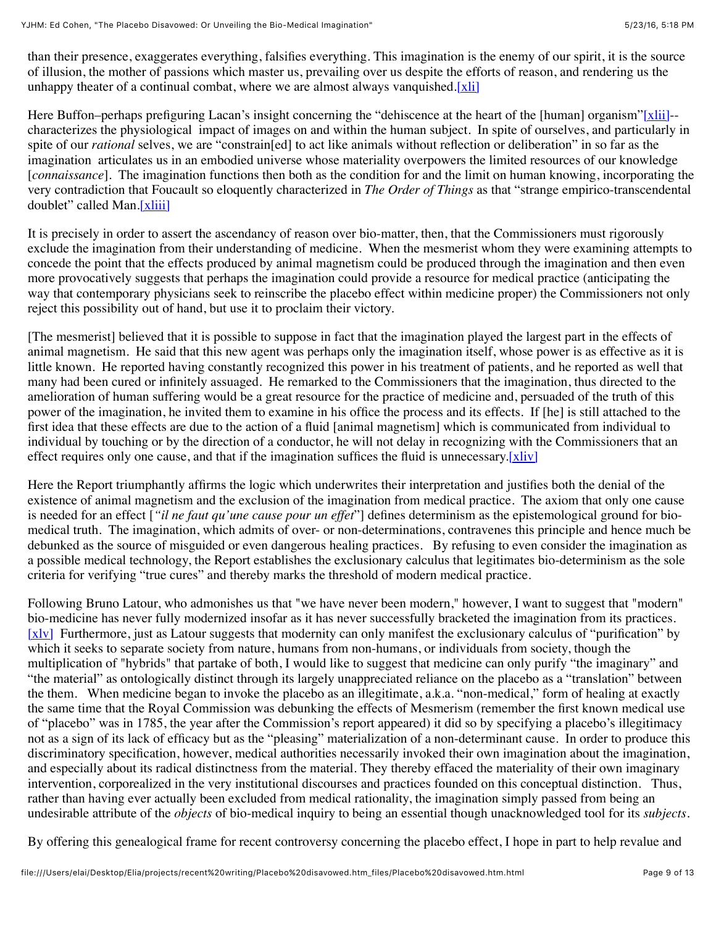than their presence, exaggerates everything, falsifies everything. This imagination is the enemy of our spirit, it is the source of illusion, the mother of passions which master us, prevailing over us despite the efforts of reason, and rendering us the unhappy theater of a continual combat, where we are almost always vanguished.  $[x$ li

Here Buffon–perhaps prefiguring Lacan's insight concerning the "dehiscence at the heart of the [human] organism["\[xlii\]](file:///Users/elai/Desktop/Elia/projects/recent%20writing/Placebo%20disavowed.htm_files/Placebo%20disavowed.htm.html#_edn42)-characterizes the physiological impact of images on and within the human subject. In spite of ourselves, and particularly in spite of our *rational* selves, we are "constrain[ed] to act like animals without reflection or deliberation" in so far as the imagination articulates us in an embodied universe whose materiality overpowers the limited resources of our knowledge [*connaissance*]. The imagination functions then both as the condition for and the limit on human knowing, incorporating the very contradiction that Foucault so eloquently characterized in *The Order of Things* as that "strange empirico-transcendental doublet" called Man[.\[xliii\]](file:///Users/elai/Desktop/Elia/projects/recent%20writing/Placebo%20disavowed.htm_files/Placebo%20disavowed.htm.html#_edn43)

It is precisely in order to assert the ascendancy of reason over bio-matter, then, that the Commissioners must rigorously exclude the imagination from their understanding of medicine. When the mesmerist whom they were examining attempts to concede the point that the effects produced by animal magnetism could be produced through the imagination and then even more provocatively suggests that perhaps the imagination could provide a resource for medical practice (anticipating the way that contemporary physicians seek to reinscribe the placebo effect within medicine proper) the Commissioners not only reject this possibility out of hand, but use it to proclaim their victory.

[The mesmerist] believed that it is possible to suppose in fact that the imagination played the largest part in the effects of animal magnetism. He said that this new agent was perhaps only the imagination itself, whose power is as effective as it is little known. He reported having constantly recognized this power in his treatment of patients, and he reported as well that many had been cured or infinitely assuaged. He remarked to the Commissioners that the imagination, thus directed to the amelioration of human suffering would be a great resource for the practice of medicine and, persuaded of the truth of this power of the imagination, he invited them to examine in his office the process and its effects. If [he] is still attached to the first idea that these effects are due to the action of a fluid [animal magnetism] which is communicated from individual to individual by touching or by the direction of a conductor, he will not delay in recognizing with the Commissioners that an effect requires only one cause, and that if the imagination suffices the fluid is unnecessary. $[x||y]$ 

Here the Report triumphantly affirms the logic which underwrites their interpretation and justifies both the denial of the existence of animal magnetism and the exclusion of the imagination from medical practice. The axiom that only one cause is needed for an effect [*"il ne faut qu'une cause pour un effet*"] defines determinism as the epistemological ground for biomedical truth. The imagination, which admits of over- or non-determinations, contravenes this principle and hence much be debunked as the source of misguided or even dangerous healing practices. By refusing to even consider the imagination as a possible medical technology, the Report establishes the exclusionary calculus that legitimates bio-determinism as the sole criteria for verifying "true cures" and thereby marks the threshold of modern medical practice.

Following Bruno Latour, who admonishes us that "we have never been modern," however, I want to suggest that "modern" bio-medicine has never fully modernized insofar as it has never successfully bracketed the imagination from its practices. [\[xlv\]](file:///Users/elai/Desktop/Elia/projects/recent%20writing/Placebo%20disavowed.htm_files/Placebo%20disavowed.htm.html#_edn45) Furthermore, just as Latour suggests that modernity can only manifest the exclusionary calculus of "purification" by which it seeks to separate society from nature, humans from non-humans, or individuals from society, though the multiplication of "hybrids" that partake of both, I would like to suggest that medicine can only purify "the imaginary" and "the material" as ontologically distinct through its largely unappreciated reliance on the placebo as a "translation" between the them. When medicine began to invoke the placebo as an illegitimate, a.k.a. "non-medical," form of healing at exactly the same time that the Royal Commission was debunking the effects of Mesmerism (remember the first known medical use of "placebo" was in 1785, the year after the Commission's report appeared) it did so by specifying a placebo's illegitimacy not as a sign of its lack of efficacy but as the "pleasing" materialization of a non-determinant cause. In order to produce this discriminatory specification, however, medical authorities necessarily invoked their own imagination about the imagination, and especially about its radical distinctness from the material. They thereby effaced the materiality of their own imaginary intervention, corporealized in the very institutional discourses and practices founded on this conceptual distinction. Thus, rather than having ever actually been excluded from medical rationality, the imagination simply passed from being an undesirable attribute of the *objects* of bio-medical inquiry to being an essential though unacknowledged tool for its *subjects*.

By offering this genealogical frame for recent controversy concerning the placebo effect, I hope in part to help revalue and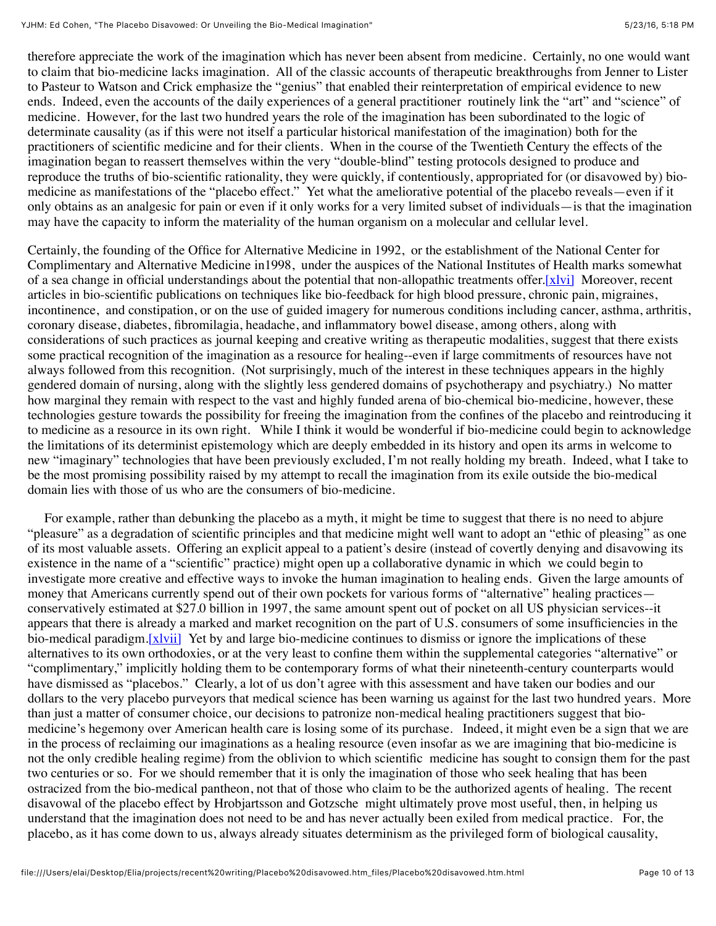therefore appreciate the work of the imagination which has never been absent from medicine. Certainly, no one would want to claim that bio-medicine lacks imagination. All of the classic accounts of therapeutic breakthroughs from Jenner to Lister to Pasteur to Watson and Crick emphasize the "genius" that enabled their reinterpretation of empirical evidence to new ends. Indeed, even the accounts of the daily experiences of a general practitioner routinely link the "art" and "science" of medicine. However, for the last two hundred years the role of the imagination has been subordinated to the logic of determinate causality (as if this were not itself a particular historical manifestation of the imagination) both for the practitioners of scientific medicine and for their clients. When in the course of the Twentieth Century the effects of the imagination began to reassert themselves within the very "double-blind" testing protocols designed to produce and reproduce the truths of bio-scientific rationality, they were quickly, if contentiously, appropriated for (or disavowed by) biomedicine as manifestations of the "placebo effect." Yet what the ameliorative potential of the placebo reveals—even if it only obtains as an analgesic for pain or even if it only works for a very limited subset of individuals—is that the imagination may have the capacity to inform the materiality of the human organism on a molecular and cellular level.

Certainly, the founding of the Office for Alternative Medicine in 1992, or the establishment of the National Center for Complimentary and Alternative Medicine in1998, under the auspices of the National Institutes of Health marks somewhat of a sea change in official understandings about the potential that non-allopathic treatments offer. [x] $vi$ ] Moreover, recent articles in bio-scientific publications on techniques like bio-feedback for high blood pressure, chronic pain, migraines, incontinence, and constipation, or on the use of guided imagery for numerous conditions including cancer, asthma, arthritis, coronary disease, diabetes, fibromilagia, headache, and inflammatory bowel disease, among others, along with considerations of such practices as journal keeping and creative writing as therapeutic modalities, suggest that there exists some practical recognition of the imagination as a resource for healing--even if large commitments of resources have not always followed from this recognition. (Not surprisingly, much of the interest in these techniques appears in the highly gendered domain of nursing, along with the slightly less gendered domains of psychotherapy and psychiatry.) No matter how marginal they remain with respect to the vast and highly funded arena of bio-chemical bio-medicine, however, these technologies gesture towards the possibility for freeing the imagination from the confines of the placebo and reintroducing it to medicine as a resource in its own right. While I think it would be wonderful if bio-medicine could begin to acknowledge the limitations of its determinist epistemology which are deeply embedded in its history and open its arms in welcome to new "imaginary" technologies that have been previously excluded, I'm not really holding my breath. Indeed, what I take to be the most promising possibility raised by my attempt to recall the imagination from its exile outside the bio-medical domain lies with those of us who are the consumers of bio-medicine.

 For example, rather than debunking the placebo as a myth, it might be time to suggest that there is no need to abjure "pleasure" as a degradation of scientific principles and that medicine might well want to adopt an "ethic of pleasing" as one of its most valuable assets. Offering an explicit appeal to a patient's desire (instead of covertly denying and disavowing its existence in the name of a "scientific" practice) might open up a collaborative dynamic in which we could begin to investigate more creative and effective ways to invoke the human imagination to healing ends. Given the large amounts of money that Americans currently spend out of their own pockets for various forms of "alternative" healing practices conservatively estimated at \$27.0 billion in 1997, the same amount spent out of pocket on all US physician services--it appears that there is already a marked and market recognition on the part of U.S. consumers of some insufficiencies in the bio-medical paradigm[.\[xlvii\]](file:///Users/elai/Desktop/Elia/projects/recent%20writing/Placebo%20disavowed.htm_files/Placebo%20disavowed.htm.html#_edn47) Yet by and large bio-medicine continues to dismiss or ignore the implications of these alternatives to its own orthodoxies, or at the very least to confine them within the supplemental categories "alternative" or "complimentary," implicitly holding them to be contemporary forms of what their nineteenth-century counterparts would have dismissed as "placebos." Clearly, a lot of us don't agree with this assessment and have taken our bodies and our dollars to the very placebo purveyors that medical science has been warning us against for the last two hundred years. More than just a matter of consumer choice, our decisions to patronize non-medical healing practitioners suggest that biomedicine's hegemony over American health care is losing some of its purchase. Indeed, it might even be a sign that we are in the process of reclaiming our imaginations as a healing resource (even insofar as we are imagining that bio-medicine is not the only credible healing regime) from the oblivion to which scientific medicine has sought to consign them for the past two centuries or so. For we should remember that it is only the imagination of those who seek healing that has been ostracized from the bio-medical pantheon, not that of those who claim to be the authorized agents of healing. The recent disavowal of the placebo effect by Hrobjartsson and Gotzsche might ultimately prove most useful, then, in helping us understand that the imagination does not need to be and has never actually been exiled from medical practice. For, the placebo, as it has come down to us, always already situates determinism as the privileged form of biological causality,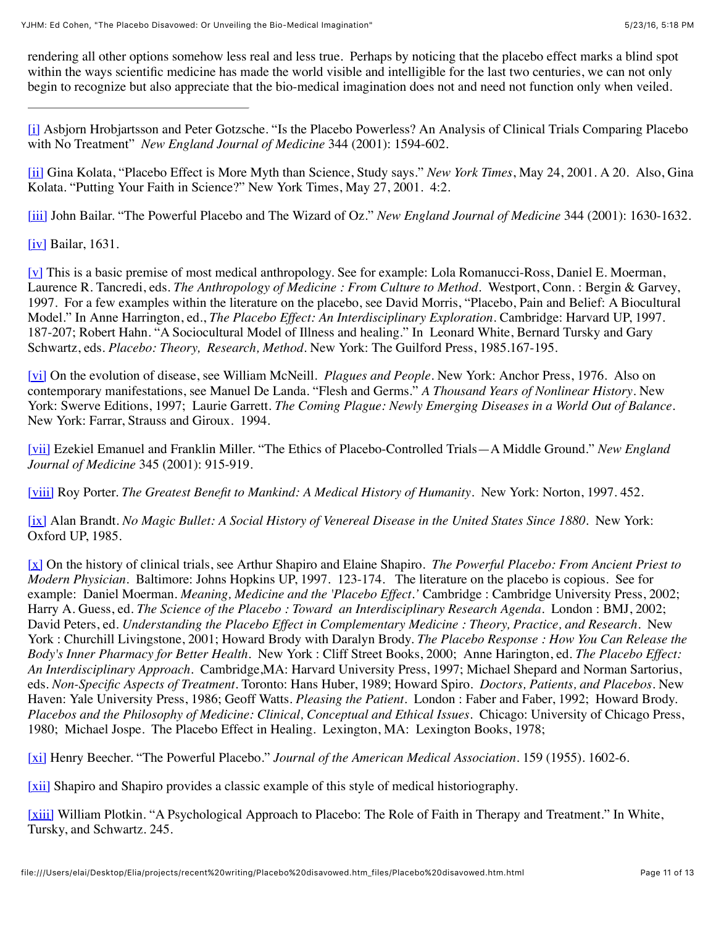rendering all other options somehow less real and less true. Perhaps by noticing that the placebo effect marks a blind spot within the ways scientific medicine has made the world visible and intelligible for the last two centuries, we can not only begin to recognize but also appreciate that the bio-medical imagination does not and need not function only when veiled.

[\[i\]](file:///Users/elai/Desktop/Elia/projects/recent%20writing/Placebo%20disavowed.htm_files/Placebo%20disavowed.htm.html#_ednref1) Asbjorn Hrobjartsson and Peter Gotzsche. "Is the Placebo Powerless? An Analysis of Clinical Trials Comparing Placebo with No Treatment" *New England Journal of Medicine* 344 (2001): 1594-602.

[\[ii\]](file:///Users/elai/Desktop/Elia/projects/recent%20writing/Placebo%20disavowed.htm_files/Placebo%20disavowed.htm.html#_ednref2) Gina Kolata, "Placebo Effect is More Myth than Science, Study says." *New York Times*, May 24, 2001. A 20. Also, Gina Kolata. "Putting Your Faith in Science?" New York Times, May 27, 2001. 4:2.

[\[iii\]](file:///Users/elai/Desktop/Elia/projects/recent%20writing/Placebo%20disavowed.htm_files/Placebo%20disavowed.htm.html#_ednref3) John Bailar. "The Powerful Placebo and The Wizard of Oz." *New England Journal of Medicine* 344 (2001): 1630-1632.

[\[iv\]](file:///Users/elai/Desktop/Elia/projects/recent%20writing/Placebo%20disavowed.htm_files/Placebo%20disavowed.htm.html#_ednref4) Bailar, 1631.

 $[\underline{v}]$  This is a basic premise of most medical anthropology. See for example: Lola Romanucci-Ross, Daniel E. Moerman, Laurence R. Tancredi, eds. *The Anthropology of Medicine : From Culture to Method*. Westport, Conn. : Bergin & Garvey, 1997. For a few examples within the literature on the placebo, see David Morris, "Placebo, Pain and Belief: A Biocultural Model." In Anne Harrington, ed., *The Placebo Effect: An Interdisciplinary Exploration*. Cambridge: Harvard UP, 1997. 187-207; Robert Hahn. "A Sociocultural Model of Illness and healing." In Leonard White, Bernard Tursky and Gary Schwartz, eds. *Placebo: Theory, Research, Method*. New York: The Guilford Press, 1985.167-195.

[\[vi\]](file:///Users/elai/Desktop/Elia/projects/recent%20writing/Placebo%20disavowed.htm_files/Placebo%20disavowed.htm.html#_ednref6) On the evolution of disease, see William McNeill. *Plagues and People*. New York: Anchor Press, 1976. Also on contemporary manifestations, see Manuel De Landa. "Flesh and Germs." *A Thousand Years of Nonlinear History*. New York: Swerve Editions, 1997; Laurie Garrett. *The Coming Plague: Newly Emerging Diseases in a World Out of Balance*. New York: Farrar, Strauss and Giroux. 1994.

[\[vii\]](file:///Users/elai/Desktop/Elia/projects/recent%20writing/Placebo%20disavowed.htm_files/Placebo%20disavowed.htm.html#_ednref7) Ezekiel Emanuel and Franklin Miller. "The Ethics of Placebo-Controlled Trials—A Middle Ground." *New England Journal of Medicine* 345 (2001): 915-919.

[\[viii\]](file:///Users/elai/Desktop/Elia/projects/recent%20writing/Placebo%20disavowed.htm_files/Placebo%20disavowed.htm.html#_ednref8) Roy Porter. *The Greatest Benefit to Mankind: A Medical History of Humanity*. New York: Norton, 1997. 452.

[\[ix\]](file:///Users/elai/Desktop/Elia/projects/recent%20writing/Placebo%20disavowed.htm_files/Placebo%20disavowed.htm.html#_ednref9) Alan Brandt. *No Magic Bullet: A Social History of Venereal Disease in the United States Since 1880*. New York: Oxford UP, 1985.

[\[x\]](file:///Users/elai/Desktop/Elia/projects/recent%20writing/Placebo%20disavowed.htm_files/Placebo%20disavowed.htm.html#_ednref10) On the history of clinical trials, see Arthur Shapiro and Elaine Shapiro. *The Powerful Placebo: From Ancient Priest to Modern Physician*. Baltimore: Johns Hopkins UP, 1997. 123-174. The literature on the placebo is copious. See for example: Daniel Moerman. *Meaning, Medicine and the 'Placebo Effect.'* Cambridge : Cambridge University Press, 2002; Harry A. Guess, ed. *The Science of the Placebo : Toward an Interdisciplinary Research Agenda*. London : BMJ, 2002; David Peters, ed. *Understanding the Placebo Effect in Complementary Medicine : Theory, Practice, and Research*. New York : Churchill Livingstone, 2001; Howard Brody with Daralyn Brody. *The Placebo Response : How You Can Release the Body's Inner Pharmacy for Better Health*. New York : Cliff Street Books, 2000; Anne Harington, ed. *The Placebo Effect: An Interdisciplinary Approach*. Cambridge,MA: Harvard University Press, 1997; Michael Shepard and Norman Sartorius, eds. *Non-Specific Aspects of Treatment*. Toronto: Hans Huber, 1989; Howard Spiro. *Doctors, Patients, and Placebos*. New Haven: Yale University Press, 1986; Geoff Watts. *Pleasing the Patient*. London : Faber and Faber, 1992; Howard Brody. *Placebos and the Philosophy of Medicine: Clinical, Conceptual and Ethical Issues.* Chicago: University of Chicago Press, 1980; Michael Jospe. The Placebo Effect in Healing. Lexington, MA: Lexington Books, 1978;

[\[xi\]](file:///Users/elai/Desktop/Elia/projects/recent%20writing/Placebo%20disavowed.htm_files/Placebo%20disavowed.htm.html#_ednref11) Henry Beecher. "The Powerful Placebo." *Journal of the American Medical Association*. 159 (1955). 1602-6.

[\[xii\]](file:///Users/elai/Desktop/Elia/projects/recent%20writing/Placebo%20disavowed.htm_files/Placebo%20disavowed.htm.html#_ednref12) Shapiro and Shapiro provides a classic example of this style of medical historiography.

[\[xiii\]](file:///Users/elai/Desktop/Elia/projects/recent%20writing/Placebo%20disavowed.htm_files/Placebo%20disavowed.htm.html#_ednref13) William Plotkin. "A Psychological Approach to Placebo: The Role of Faith in Therapy and Treatment." In White, Tursky, and Schwartz. 245.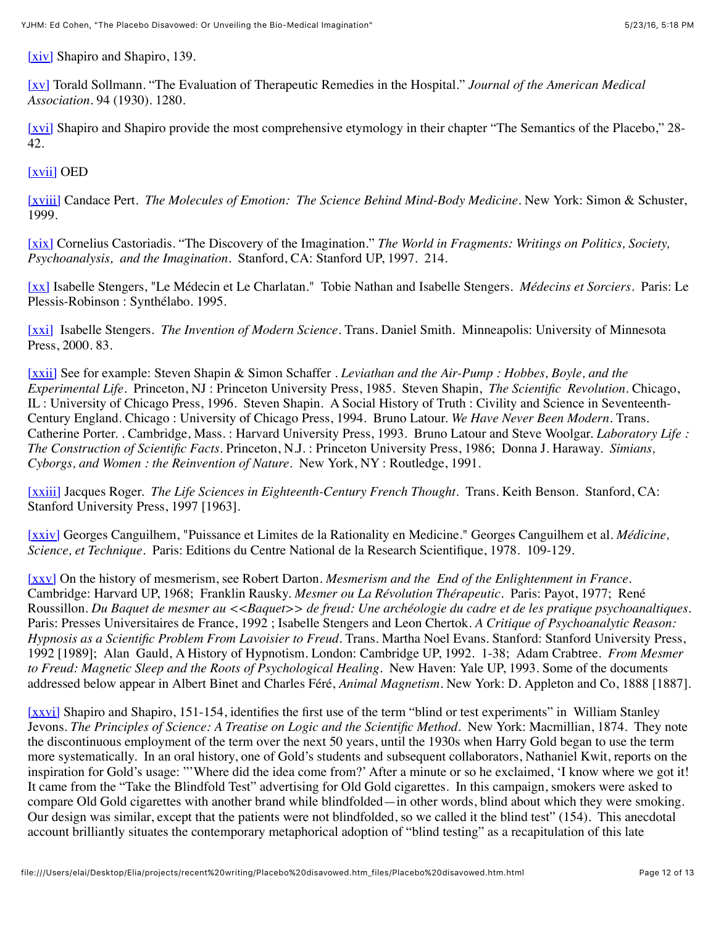[\[xiv\]](file:///Users/elai/Desktop/Elia/projects/recent%20writing/Placebo%20disavowed.htm_files/Placebo%20disavowed.htm.html#_ednref14) Shapiro and Shapiro, 139.

[\[xv\]](file:///Users/elai/Desktop/Elia/projects/recent%20writing/Placebo%20disavowed.htm_files/Placebo%20disavowed.htm.html#_ednref15) Torald Sollmann. "The Evaluation of Therapeutic Remedies in the Hospital." *Journal of the American Medical Association*. 94 (1930). 1280.

[\[xvi\]](file:///Users/elai/Desktop/Elia/projects/recent%20writing/Placebo%20disavowed.htm_files/Placebo%20disavowed.htm.html#_ednref16) Shapiro and Shapiro provide the most comprehensive etymology in their chapter "The Semantics of the Placebo," 28-42.

[\[xvii\]](file:///Users/elai/Desktop/Elia/projects/recent%20writing/Placebo%20disavowed.htm_files/Placebo%20disavowed.htm.html#_ednref17) OED

[\[xviii\]](file:///Users/elai/Desktop/Elia/projects/recent%20writing/Placebo%20disavowed.htm_files/Placebo%20disavowed.htm.html#_ednref18) Candace Pert. *The Molecules of Emotion: The Science Behind Mind-Body Medicine.* New York: Simon & Schuster, 1999.

[\[xix\]](file:///Users/elai/Desktop/Elia/projects/recent%20writing/Placebo%20disavowed.htm_files/Placebo%20disavowed.htm.html#_ednref19) Cornelius Castoriadis. "The Discovery of the Imagination." *The World in Fragments: Writings on Politics, Society, Psychoanalysis, and the Imagination.* Stanford, CA: Stanford UP, 1997. 214.

[\[xx\]](file:///Users/elai/Desktop/Elia/projects/recent%20writing/Placebo%20disavowed.htm_files/Placebo%20disavowed.htm.html#_ednref20) Isabelle Stengers, "Le Médecin et Le Charlatan." Tobie Nathan and Isabelle Stengers. *Médecins et Sorciers.* Paris: Le Plessis-Robinson : Synthélabo. 1995.

[\[xxi\]](file:///Users/elai/Desktop/Elia/projects/recent%20writing/Placebo%20disavowed.htm_files/Placebo%20disavowed.htm.html#_ednref21) Isabelle Stengers. *The Invention of Modern Science*. Trans. Daniel Smith. Minneapolis: University of Minnesota Press, 2000. 83.

[\[xxii\]](file:///Users/elai/Desktop/Elia/projects/recent%20writing/Placebo%20disavowed.htm_files/Placebo%20disavowed.htm.html#_ednref22) See for example: Steven Shapin & Simon Schaffer *. Leviathan and the Air-Pump : Hobbes, Boyle, and the Experimental Life.* Princeton, NJ : Princeton University Press, 1985. Steven Shapin, *The Scientific Revolution*. Chicago, IL : University of Chicago Press, 1996. Steven Shapin. A Social History of Truth : Civility and Science in Seventeenth-Century England. Chicago : University of Chicago Press, 1994. Bruno Latour. *We Have Never Been Modern*. Trans. Catherine Porter. . Cambridge, Mass. : Harvard University Press, 1993. Bruno Latour and Steve Woolgar. *Laboratory Life : The Construction of Scientific Facts*. Princeton, N.J. : Princeton University Press, 1986; Donna J. Haraway. *Simians, Cyborgs, and Women : the Reinvention of Nature.* New York, NY : Routledge, 1991.

[\[xxiii\]](file:///Users/elai/Desktop/Elia/projects/recent%20writing/Placebo%20disavowed.htm_files/Placebo%20disavowed.htm.html#_ednref23) Jacques Roger. *The Life Sciences in Eighteenth-Century French Thought*. Trans. Keith Benson. Stanford, CA: Stanford University Press, 1997 [1963].

[\[xxiv\]](file:///Users/elai/Desktop/Elia/projects/recent%20writing/Placebo%20disavowed.htm_files/Placebo%20disavowed.htm.html#_ednref24) Georges Canguilhem, "Puissance et Limites de la Rationality en Medicine." Georges Canguilhem et al. *Médicine, Science, et Technique*. Paris: Editions du Centre National de la Research Scientifique, 1978. 109-129.

[\[xxv\]](file:///Users/elai/Desktop/Elia/projects/recent%20writing/Placebo%20disavowed.htm_files/Placebo%20disavowed.htm.html#_ednref25) On the history of mesmerism, see Robert Darton. *Mesmerism and the End of the Enlightenment in France*. Cambridge: Harvard UP, 1968; Franklin Rausky. *Mesmer ou La Révolution Thérapeutic*. Paris: Payot, 1977; René Roussillon. *Du Baquet de mesmer au <<Baquet>> de freud: Une archéologie du cadre et de les pratique psychoanaltiques*. Paris: Presses Universitaires de France, 1992 ; Isabelle Stengers and Leon Chertok. *A Critique of Psychoanalytic Reason: Hypnosis as a Scientific Problem From Lavoisier to Freud*. Trans. Martha Noel Evans. Stanford: Stanford University Press, 1992 [1989]; Alan Gauld, A History of Hypnotism. London: Cambridge UP, 1992. 1-38; Adam Crabtree. *From Mesmer to Freud: Magnetic Sleep and the Roots of Psychological Healing.* New Haven: Yale UP, 1993. Some of the documents addressed below appear in Albert Binet and Charles Féré, *Animal Magnetism*. New York: D. Appleton and Co, 1888 [1887].

[\[xxvi\]](file:///Users/elai/Desktop/Elia/projects/recent%20writing/Placebo%20disavowed.htm_files/Placebo%20disavowed.htm.html#_ednref26) Shapiro and Shapiro, 151-154, identifies the first use of the term "blind or test experiments" in William Stanley Jevons. *The Principles of Science: A Treatise on Logic and the Scientific Method*. New York: Macmillian, 1874. They note the discontinuous employment of the term over the next 50 years, until the 1930s when Harry Gold began to use the term more systematically. In an oral history, one of Gold's students and subsequent collaborators, Nathaniel Kwit, reports on the inspiration for Gold's usage: "'Where did the idea come from?' After a minute or so he exclaimed, 'I know where we got it! It came from the "Take the Blindfold Test" advertising for Old Gold cigarettes. In this campaign, smokers were asked to compare Old Gold cigarettes with another brand while blindfolded—in other words, blind about which they were smoking. Our design was similar, except that the patients were not blindfolded, so we called it the blind test" (154). This anecdotal account brilliantly situates the contemporary metaphorical adoption of "blind testing" as a recapitulation of this late